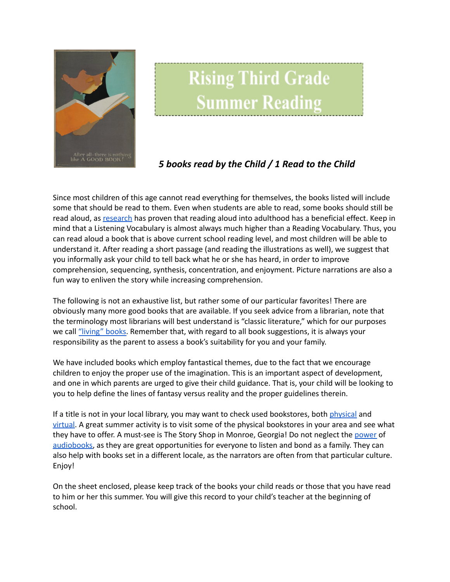

## **Rising Third Grade Summer Reading**

## *5 books read by the Child / 1 Read to the Child*

Since most children of this age cannot read everything for themselves, the books listed will include some that should be read to them. Even when students are able to read, some books should still be read aloud, as [research](https://www.greatschools.org/gk/articles/read-aloud-to-children/) has proven that reading aloud into adulthood has a beneficial effect. Keep in mind that a Listening Vocabulary is almost always much higher than a Reading Vocabulary. Thus, you can read aloud a book that is above current school reading level, and most children will be able to understand it. After reading a short passage (and reading the illustrations as well), we suggest that you informally ask your child to tell back what he or she has heard, in order to improve comprehension, sequencing, synthesis, concentration, and enjoyment. Picture narrations are also a fun way to enliven the story while increasing comprehension.

The following is not an exhaustive list, but rather some of our particular favorites! There are obviously many more good books that are available. If you seek advice from a librarian, note that the terminology most librarians will best understand is "classic literature," which for our purposes we call ["living"](https://charlottemasonhome.com/2007/05/30/literature-by-grade/) books. Remember that, with regard to all book suggestions, it is always your responsibility as the parent to assess a book's suitability for you and your family.

We have included books which employ fantastical themes, due to the fact that we encourage children to enjoy the proper use of the imagination. This is an important aspect of development, and one in which parents are urged to give their child guidance. That is, your child will be looking to you to help define the lines of fantasy versus reality and the proper guidelines therein.

If a title is not in your local library, you may want to check used bookstores, both [physical](https://www.atlantaparent.com/top-kids-bookstores-in-atlanta/) and [virtual.](https://booksliced.com/books/here-are-the-20-best-websites-to-use-next-time-you-shop-for-paperback-and-hardcover-books-online/) A great summer activity is to visit some of the physical bookstores in your area and see what they have to offer. A must-see is The Story Shop in Monroe, Georgia! Do not neglect the [power](https://www.learningliftoff.com/free-audio-books-for-kids/) of [audiobooks](https://mashable.com/article/free-audiobooks/), as they are great opportunities for everyone to listen and bond as a family. They can also help with books set in a different locale, as the narrators are often from that particular culture. Enjoy!

On the sheet enclosed, please keep track of the books your child reads or those that you have read to him or her this summer. You will give this record to your child's teacher at the beginning of school.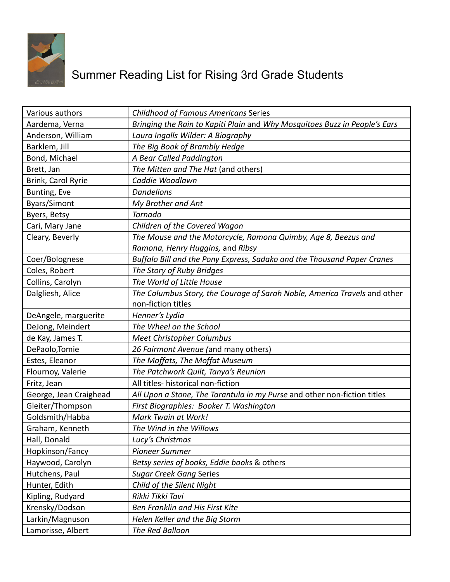

## Summer Reading List for Rising 3rd Grade Students

| Various authors        | <b>Childhood of Famous Americans Series</b>                                |
|------------------------|----------------------------------------------------------------------------|
| Aardema, Verna         | Bringing the Rain to Kapiti Plain and Why Mosquitoes Buzz in People's Ears |
| Anderson, William      | Laura Ingalls Wilder: A Biography                                          |
| Barklem, Jill          | The Big Book of Brambly Hedge                                              |
| Bond, Michael          | A Bear Called Paddington                                                   |
| Brett, Jan             | The Mitten and The Hat (and others)                                        |
| Brink, Carol Ryrie     | Caddie Woodlawn                                                            |
| Bunting, Eve           | <b>Dandelions</b>                                                          |
| <b>Byars/Simont</b>    | My Brother and Ant                                                         |
| Byers, Betsy           | Tornado                                                                    |
| Cari, Mary Jane        | Children of the Covered Wagon                                              |
| Cleary, Beverly        | The Mouse and the Motorcycle, Ramona Quimby, Age 8, Beezus and             |
|                        | Ramona, Henry Huggins, and Ribsy                                           |
| Coer/Bolognese         | Buffalo Bill and the Pony Express, Sadako and the Thousand Paper Cranes    |
| Coles, Robert          | The Story of Ruby Bridges                                                  |
| Collins, Carolyn       | The World of Little House                                                  |
| Dalgliesh, Alice       | The Columbus Story, the Courage of Sarah Noble, America Travels and other  |
|                        | non-fiction titles                                                         |
| DeAngele, marguerite   | Henner's Lydia                                                             |
| DeJong, Meindert       | The Wheel on the School                                                    |
| de Kay, James T.       | <b>Meet Christopher Columbus</b>                                           |
| DePaolo, Tomie         | 26 Fairmont Avenue (and many others)                                       |
| Estes, Eleanor         | The Moffats, The Moffat Museum                                             |
| Flournoy, Valerie      | The Patchwork Quilt, Tanya's Reunion                                       |
| Fritz, Jean            | All titles- historical non-fiction                                         |
| George, Jean Craighead | All Upon a Stone, The Tarantula in my Purse and other non-fiction titles   |
| Gleiter/Thompson       | First Biographies: Booker T. Washington                                    |
| Goldsmith/Habba        | Mark Twain at Work!                                                        |
| Graham, Kenneth        | The Wind in the Willows                                                    |
| Hall, Donald           | Lucy's Christmas                                                           |
| Hopkinson/Fancy        | <b>Pioneer Summer</b>                                                      |
| Haywood, Carolyn       |                                                                            |
|                        | Betsy series of books, Eddie books & others                                |
| Hutchens, Paul         | <b>Sugar Creek Gang Series</b>                                             |
| Hunter, Edith          | Child of the Silent Night                                                  |
| Kipling, Rudyard       | Rikki Tikki Tavi                                                           |
| Krensky/Dodson         | Ben Franklin and His First Kite                                            |
| Larkin/Magnuson        | Helen Keller and the Big Storm                                             |
| Lamorisse, Albert      | The Red Balloon                                                            |